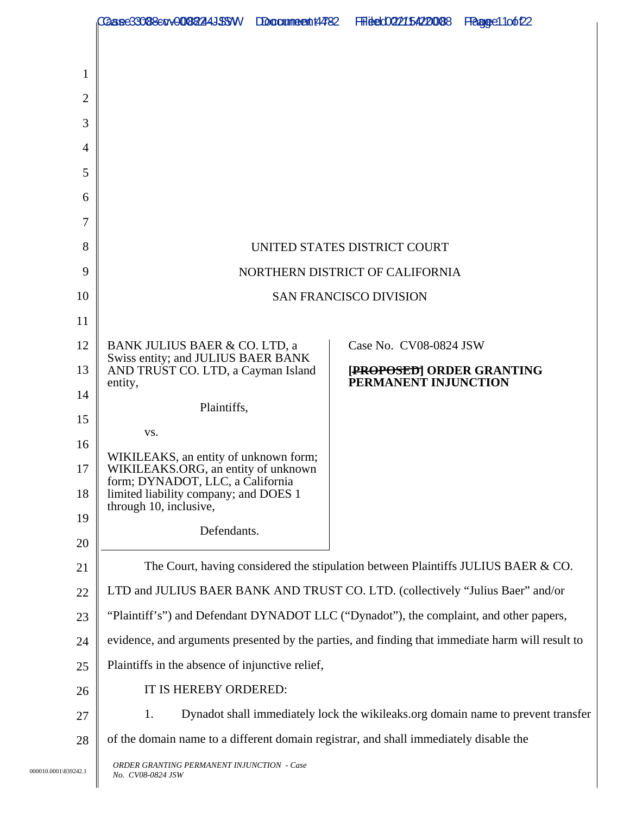|                      | <b>1236e33088e0v008224JSSW</b>                                                                            | Docclaime ext t44782 | <b>FFIELECOO22154220088</b> | Pragge 100122 |
|----------------------|-----------------------------------------------------------------------------------------------------------|----------------------|-----------------------------|---------------|
|                      |                                                                                                           |                      |                             |               |
| 1                    |                                                                                                           |                      |                             |               |
| $\overline{2}$       |                                                                                                           |                      |                             |               |
| 3                    |                                                                                                           |                      |                             |               |
| 4                    |                                                                                                           |                      |                             |               |
| 5                    |                                                                                                           |                      |                             |               |
| 6                    |                                                                                                           |                      |                             |               |
| 7                    |                                                                                                           |                      |                             |               |
| 8                    | UNITED STATES DISTRICT COURT                                                                              |                      |                             |               |
| 9                    | NORTHERN DISTRICT OF CALIFORNIA                                                                           |                      |                             |               |
| 10                   | <b>SAN FRANCISCO DIVISION</b>                                                                             |                      |                             |               |
| 11<br>12             |                                                                                                           |                      | Case No. CV08-0824 JSW      |               |
| 13                   | BANK JULIUS BAER & CO. LTD, a<br>Swiss entity; and JULIUS BAER BANK<br>AND TRUST CO. LTD, a Cayman Island |                      | [PROPOSED] ORDER GRANTING   |               |
| 14                   | entity,                                                                                                   |                      | PERMANENT INJUNCTION        |               |
| 15                   | Plaintiffs,                                                                                               |                      |                             |               |
| 16                   | VS.                                                                                                       |                      |                             |               |
| 17                   | WIKILEAKS, an entity of unknown form;<br>WIKILEAKS.ORG, an entity of unknown                              |                      |                             |               |
| 18                   | form; DYNADOT, LLC, a California<br>limited liability company; and DOES 1                                 |                      |                             |               |
| 19                   | through 10, inclusive,                                                                                    |                      |                             |               |
| 20                   | Defendants.                                                                                               |                      |                             |               |
| 21                   | The Court, having considered the stipulation between Plaintiffs JULIUS BAER & CO.                         |                      |                             |               |
| 22                   | LTD and JULIUS BAER BANK AND TRUST CO. LTD. (collectively "Julius Baer" and/or                            |                      |                             |               |
| 23                   | "Plaintiff's") and Defendant DYNADOT LLC ("Dynadot"), the complaint, and other papers,                    |                      |                             |               |
| 24                   | evidence, and arguments presented by the parties, and finding that immediate harm will result to          |                      |                             |               |
| 25                   | Plaintiffs in the absence of injunctive relief,                                                           |                      |                             |               |
| 26                   | IT IS HEREBY ORDERED:                                                                                     |                      |                             |               |
| 27                   | Dynadot shall immediately lock the wikileaks.org domain name to prevent transfer<br>1.                    |                      |                             |               |
| 28                   | of the domain name to a different domain registrar, and shall immediately disable the                     |                      |                             |               |
| 000010.0001\839242.1 | ORDER GRANTING PERMANENT INJUNCTION - Case<br>No. CV08-0824 JSW                                           |                      |                             |               |